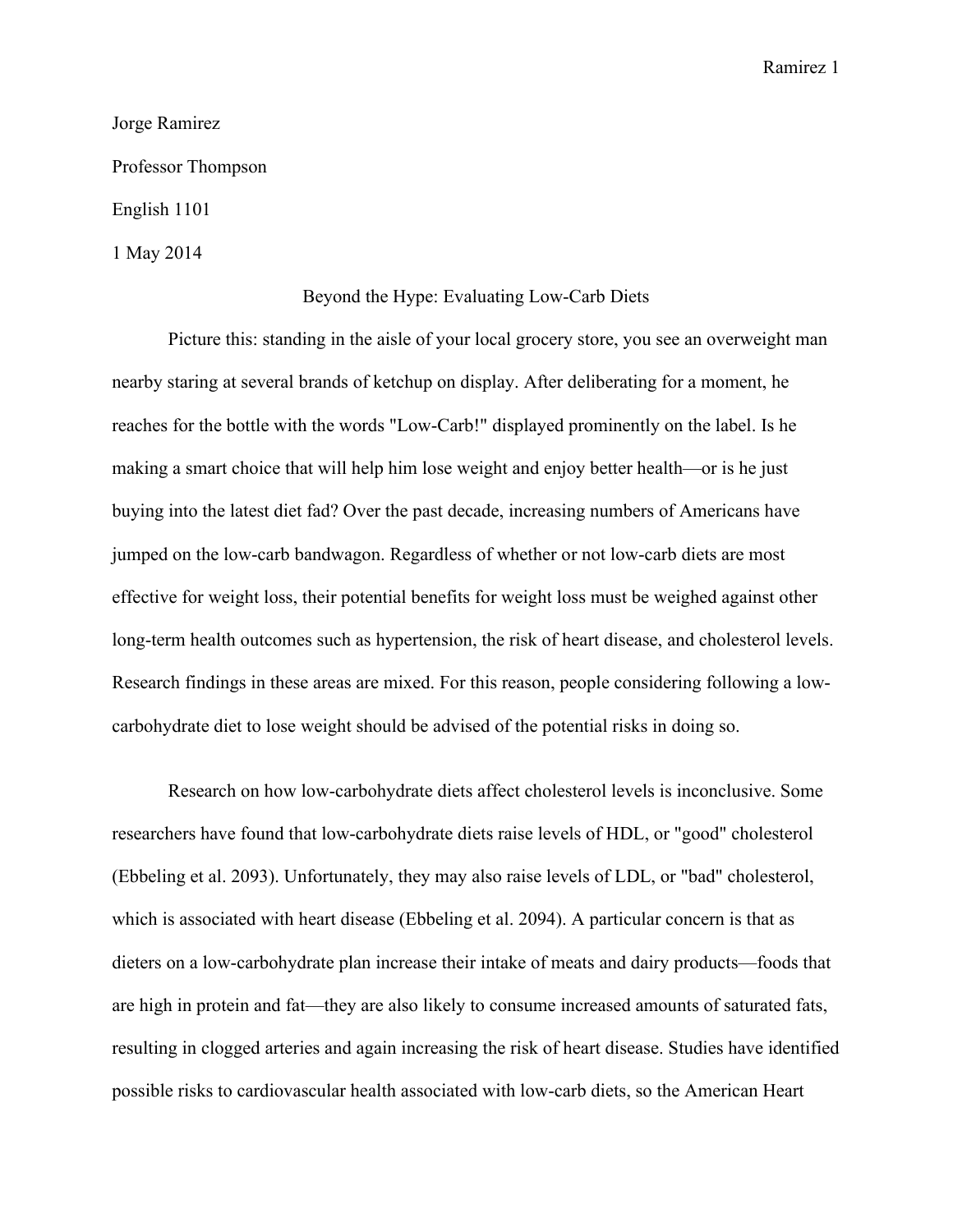Ramirez 1

## Jorge Ramirez

Professor Thompson

English 1101

1 May 2014

## Beyond the Hype: Evaluating Low-Carb Diets

Picture this: standing in the aisle of your local grocery store, you see an overweight man nearby staring at several brands of ketchup on display. After deliberating for a moment, he reaches for the bottle with the words "Low-Carb!" displayed prominently on the label. Is he making a smart choice that will help him lose weight and enjoy better health—or is he just buying into the latest diet fad? Over the past decade, increasing numbers of Americans have jumped on the low-carb bandwagon. Regardless of whether or not low-carb diets are most effective for weight loss, their potential benefits for weight loss must be weighed against other long-term health outcomes such as hypertension, the risk of heart disease, and cholesterol levels. Research findings in these areas are mixed. For this reason, people considering following a lowcarbohydrate diet to lose weight should be advised of the potential risks in doing so.

Research on how low-carbohydrate diets affect cholesterol levels is inconclusive. Some researchers have found that low-carbohydrate diets raise levels of HDL, or "good" cholesterol (Ebbeling et al. 2093). Unfortunately, they may also raise levels of LDL, or "bad" cholesterol, which is associated with heart disease (Ebbeling et al. 2094). A particular concern is that as dieters on a low-carbohydrate plan increase their intake of meats and dairy products—foods that are high in protein and fat—they are also likely to consume increased amounts of saturated fats, resulting in clogged arteries and again increasing the risk of heart disease. Studies have identified possible risks to cardiovascular health associated with low-carb diets, so the American Heart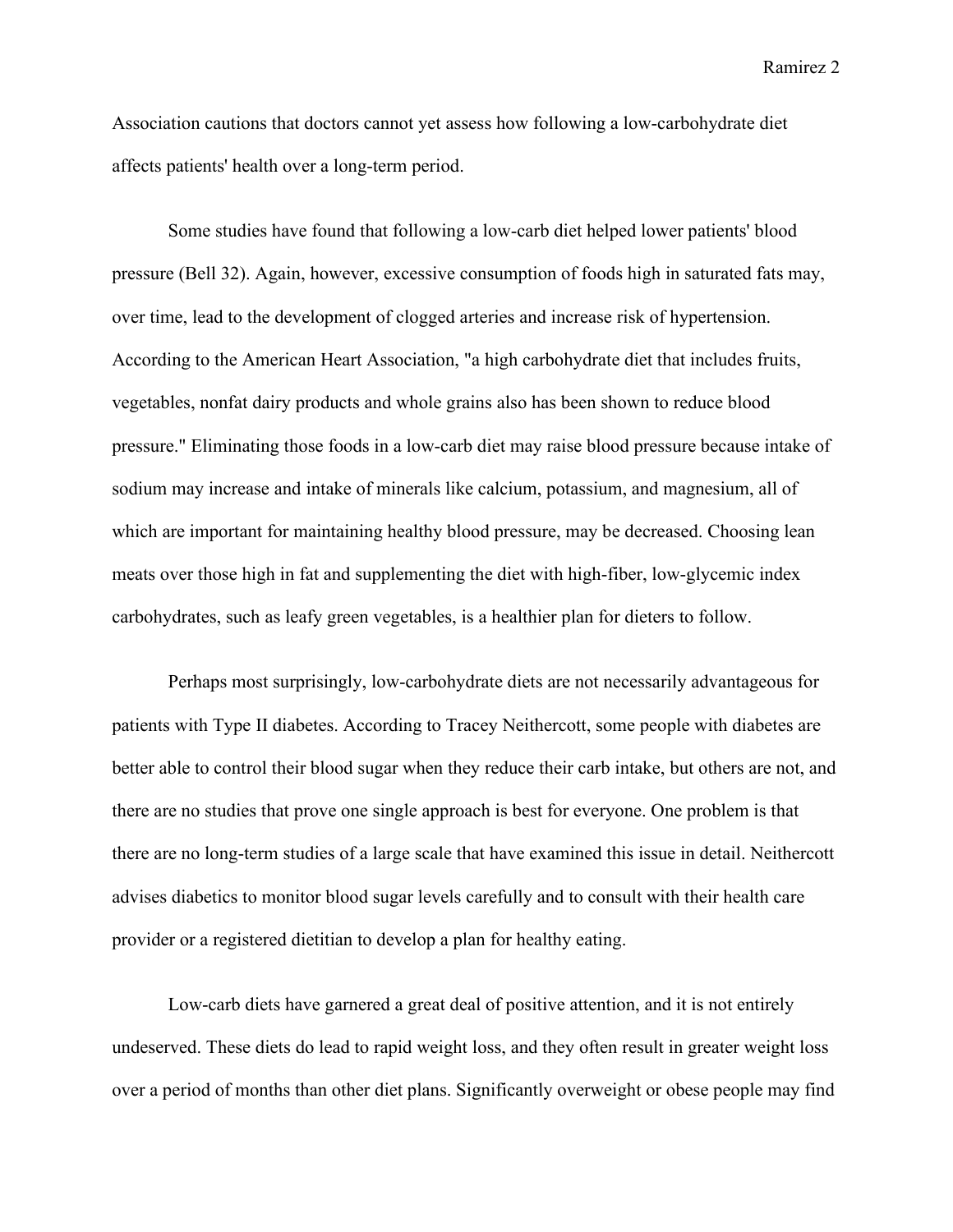Ramirez 2

Association cautions that doctors cannot yet assess how following a low-carbohydrate diet affects patients' health over a long-term period.

Some studies have found that following a low-carb diet helped lower patients' blood pressure (Bell 32). Again, however, excessive consumption of foods high in saturated fats may, over time, lead to the development of clogged arteries and increase risk of hypertension. According to the American Heart Association, "a high carbohydrate diet that includes fruits, vegetables, nonfat dairy products and whole grains also has been shown to reduce blood pressure." Eliminating those foods in a low-carb diet may raise blood pressure because intake of sodium may increase and intake of minerals like calcium, potassium, and magnesium, all of which are important for maintaining healthy blood pressure, may be decreased. Choosing lean meats over those high in fat and supplementing the diet with high-fiber, low-glycemic index carbohydrates, such as leafy green vegetables, is a healthier plan for dieters to follow.

Perhaps most surprisingly, low-carbohydrate diets are not necessarily advantageous for patients with Type II diabetes. According to Tracey Neithercott, some people with diabetes are better able to control their blood sugar when they reduce their carb intake, but others are not, and there are no studies that prove one single approach is best for everyone. One problem is that there are no long-term studies of a large scale that have examined this issue in detail. Neithercott advises diabetics to monitor blood sugar levels carefully and to consult with their health care provider or a registered dietitian to develop a plan for healthy eating.

Low-carb diets have garnered a great deal of positive attention, and it is not entirely undeserved. These diets do lead to rapid weight loss, and they often result in greater weight loss over a period of months than other diet plans. Significantly overweight or obese people may find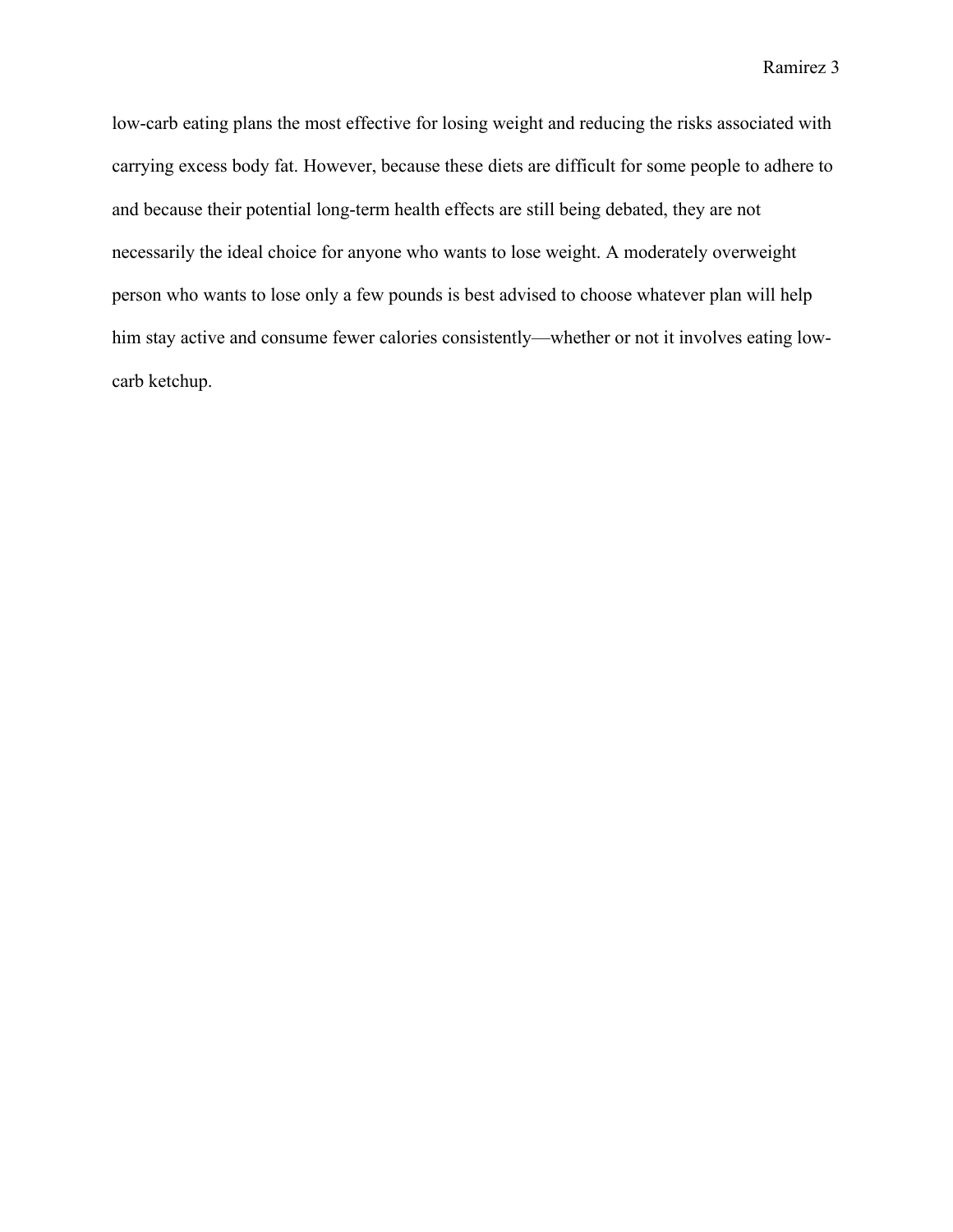Ramirez 3

low-carb eating plans the most effective for losing weight and reducing the risks associated with carrying excess body fat. However, because these diets are difficult for some people to adhere to and because their potential long-term health effects are still being debated, they are not necessarily the ideal choice for anyone who wants to lose weight. A moderately overweight person who wants to lose only a few pounds is best advised to choose whatever plan will help him stay active and consume fewer calories consistently—whether or not it involves eating lowcarb ketchup.